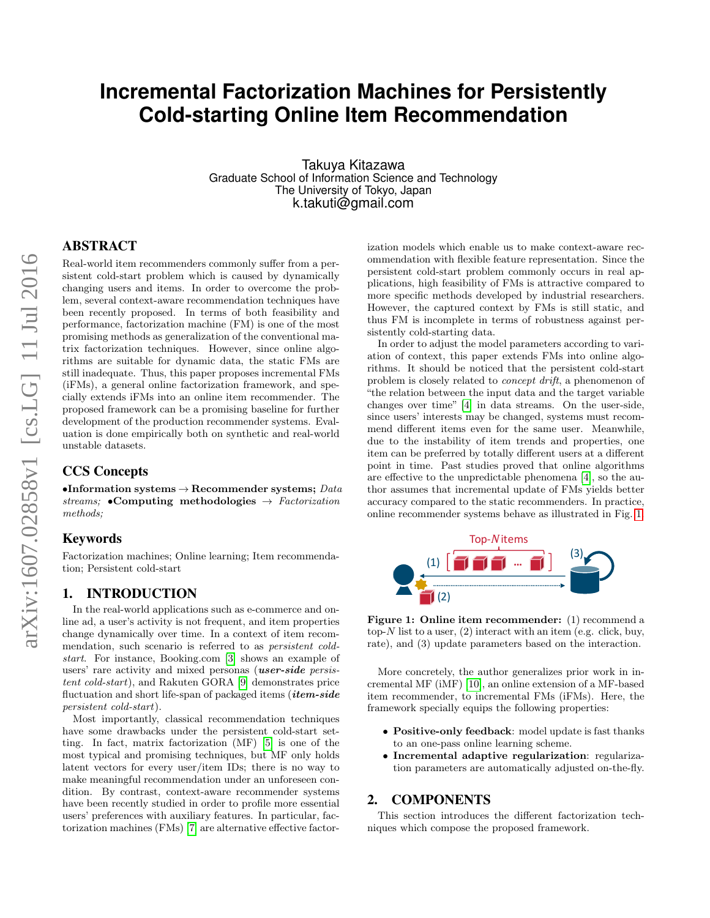# **Incremental Factorization Machines for Persistently Cold-starting Online Item Recommendation**

Takuya Kitazawa Graduate School of Information Science and Technology The University of Tokyo, Japan k.takuti@gmail.com

# ABSTRACT

Real-world item recommenders commonly suffer from a persistent cold-start problem which is caused by dynamically changing users and items. In order to overcome the problem, several context-aware recommendation techniques have been recently proposed. In terms of both feasibility and performance, factorization machine (FM) is one of the most promising methods as generalization of the conventional matrix factorization techniques. However, since online algorithms are suitable for dynamic data, the static FMs are still inadequate. Thus, this paper proposes incremental FMs (iFMs), a general online factorization framework, and specially extends iFMs into an online item recommender. The proposed framework can be a promising baseline for further development of the production recommender systems. Evaluation is done empirically both on synthetic and real-world unstable datasets.

# CCS Concepts

•Information systems  $\rightarrow$  Recommender systems; Data streams; •Computing methodologies  $\rightarrow$  Factorization methods;

#### Keywords

Factorization machines; Online learning; Item recommendation; Persistent cold-start

# 1. INTRODUCTION

In the real-world applications such as e-commerce and online ad, a user's activity is not frequent, and item properties change dynamically over time. In a context of item recommendation, such scenario is referred to as persistent coldstart. For instance, Booking.com [\[3\]](#page-3-0) shows an example of users' rare activity and mixed personas *(user-side persis*tent cold-start), and Rakuten GORA [\[9\]](#page-3-1) demonstrates price fluctuation and short life-span of packaged items ( $item-side$ persistent cold-start).

Most importantly, classical recommendation techniques have some drawbacks under the persistent cold-start setting. In fact, matrix factorization (MF) [\[5\]](#page-3-2) is one of the most typical and promising techniques, but MF only holds latent vectors for every user/item IDs; there is no way to make meaningful recommendation under an unforeseen condition. By contrast, context-aware recommender systems have been recently studied in order to profile more essential users' preferences with auxiliary features. In particular, factorization machines (FMs) [\[7\]](#page-3-3) are alternative effective factorization models which enable us to make context-aware recommendation with flexible feature representation. Since the persistent cold-start problem commonly occurs in real applications, high feasibility of FMs is attractive compared to more specific methods developed by industrial researchers. However, the captured context by FMs is still static, and thus FM is incomplete in terms of robustness against persistently cold-starting data.

In order to adjust the model parameters according to variation of context, this paper extends FMs into online algorithms. It should be noticed that the persistent cold-start problem is closely related to concept drift, a phenomenon of "the relation between the input data and the target variable changes over time" [\[4\]](#page-3-4) in data streams. On the user-side, since users' interests may be changed, systems must recommend different items even for the same user. Meanwhile, due to the instability of item trends and properties, one item can be preferred by totally different users at a different point in time. Past studies proved that online algorithms are effective to the unpredictable phenomena [\[4\]](#page-3-4), so the author assumes that incremental update of FMs yields better accuracy compared to the static recommenders. In practice, online recommender systems behave as illustrated in Fig. [1.](#page-0-0)



<span id="page-0-0"></span>Figure 1: Online item recommender: (1) recommend a top- $N$  list to a user, (2) interact with an item (e.g. click, buy, rate), and (3) update parameters based on the interaction.

More concretely, the author generalizes prior work in incremental MF (iMF) [\[10\]](#page-3-5), an online extension of a MF-based item recommender, to incremental FMs (iFMs). Here, the framework specially equips the following properties:

- Positive-only feedback: model update is fast thanks to an one-pass online learning scheme.
- Incremental adaptive regularization: regularization parameters are automatically adjusted on-the-fly.

#### 2. COMPONENTS

This section introduces the different factorization techniques which compose the proposed framework.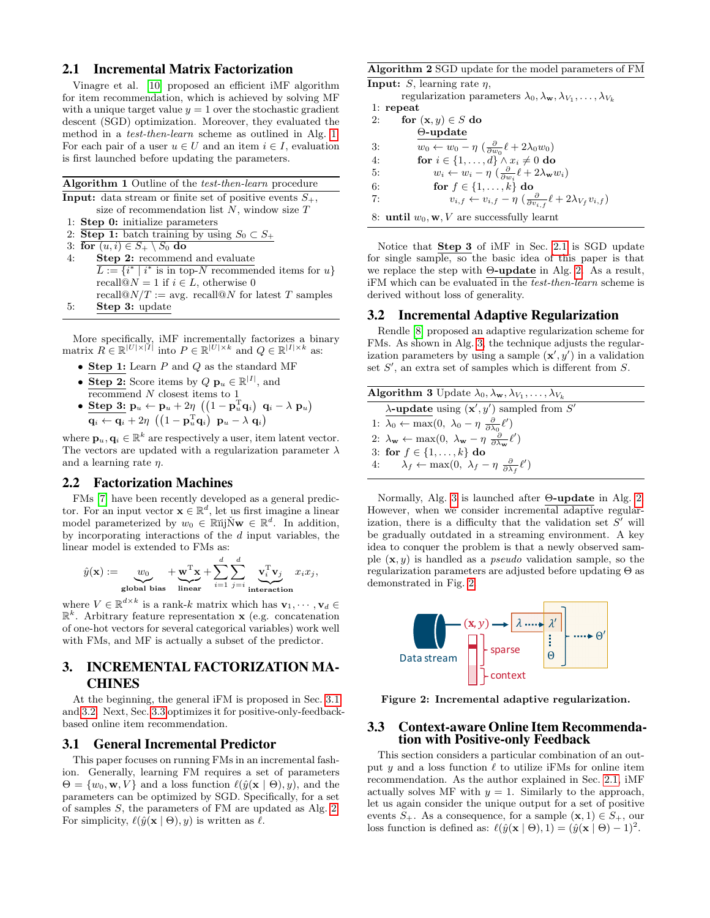#### <span id="page-1-5"></span>2.1 Incremental Matrix Factorization

Vinagre et al. [\[10\]](#page-3-5) proposed an efficient iMF algorithm for item recommendation, which is achieved by solving MF with a unique target value  $y = 1$  over the stochastic gradient descent (SGD) optimization. Moreover, they evaluated the method in a test-then-learn scheme as outlined in Alg. [1.](#page-1-0) For each pair of a user  $u \in U$  and an item  $i \in I$ , evaluation is first launched before updating the parameters.

<span id="page-1-0"></span>

| <b>Algorithm 1</b> Outline of the <i>test-then-learn</i> procedure                      |
|-----------------------------------------------------------------------------------------|
| <b>Input:</b> data stream or finite set of positive events $S_{+}$ ,                    |
| size of recommendation list $N$ , window size $T$                                       |
| 1: Step $0:$ initialize parameters                                                      |
| 2: Step 1: batch training by using $S_0 \subset S_+$                                    |
| 3: for $(u, i) \in S_+ \setminus S_0$ do                                                |
| <b>Step 2:</b> recommend and evaluate<br>4:                                             |
| $\overline{L} := \{i^* \mid i^* \text{ is in top-}N \text{ recommended items for } u\}$ |
| recall@ $N = 1$ if $i \in L$ , otherwise 0                                              |
| recall $\mathbb{Q}N/T := \text{avg.}$ recall $\mathbb{Q}N$ for latest T samples         |
| <b>Step 3:</b> update<br>5:                                                             |

More specifically, iMF incrementally factorizes a binary matrix  $R \in \mathbb{R}^{|U| \times |I|}$  into  $P \in \mathbb{R}^{|U| \times k}$  and  $Q \in \mathbb{R}^{|I| \times k}$  as:

- Step 1: Learn  $P$  and  $Q$  as the standard MF
- Step 2: Score items by  $Q \mathbf{p}_u \in \mathbb{R}^{|I|}$ , and  $r_{\text{e}$  recommend  $N$  closest items to 1
- $\bullet \hspace{0.1cm} \textbf{Step 3:}\hspace{0.1cm} \textbf{p}_u \leftarrow \textbf{p}_u + 2 \eta \; \left(\begin{pmatrix} 1 \textbf{p}_u^{\mathrm{T}} \textbf{q}_i \end{pmatrix} \right. \textbf{q}_i \lambda \; \textbf{p}_u \right)$  $\mathbf{q}_i \leftarrow \mathbf{q}_i + 2 \eta \; \left(\begin{pmatrix} 1 - \mathbf{p}_u^{\mathrm{T}} \mathbf{q}_i \end{pmatrix} \; \mathbf{p}_u - \lambda \; \mathbf{q}_i \right)$

where  $\mathbf{p}_u, \mathbf{q}_i \in \mathbb{R}^k$  are respectively a user, item latent vector. The vectors are updated with a regularization parameter  $\lambda$ and a learning rate  $\eta$ .

#### 2.2 Factorization Machines

FMs [\[7\]](#page-3-3) have been recently developed as a general predictor. For an input vector  $\mathbf{x} \in \mathbb{R}^d$ , let us first imagine a linear model parameterized by  $w_0 \in \mathbb{R}$ iij $\check{N}\mathbf{w} \in \mathbb{R}^d$ . In addition, by incorporating interactions of the  $d$  input variables, the linear model is extended to FMs as:

$$
\hat{y}(\mathbf{x}) := \underbrace{w_0}_{\text{global bias}} + \underbrace{\mathbf{w}^{\mathrm{T}} \mathbf{x}}_{\text{linear}} + \sum_{i=1}^{d} \sum_{j=i}^{d} \underbrace{\mathbf{v}_i^{\mathrm{T}} \mathbf{v}_j}_{\text{interaction}} x_i x_j,
$$

where  $V \in \mathbb{R}^{d \times k}$  is a rank-k matrix which has  $\mathbf{v}_1, \dots, \mathbf{v}_d \in$  $\mathbb{R}^k$ . Arbitrary feature representation **x** (e.g. concatenation of one-hot vectors for several categorical variables) work well with FMs, and MF is actually a subset of the predictor.

# 3. INCREMENTAL FACTORIZATION MA-CHINES

At the beginning, the general iFM is proposed in Sec. [3.1](#page-1-1) and [3.2.](#page-1-2) Next, Sec. [3.3](#page-1-3) optimizes it for positive-only-feedbackbased online item recommendation.

#### <span id="page-1-1"></span>3.1 General Incremental Predictor

This paper focuses on running FMs in an incremental fashion. Generally, learning FM requires a set of parameters  $\Theta = \{w_0, \mathbf{w}, V\}$  and a loss function  $\ell(\hat{y}(\mathbf{x} \mid \Theta), y)$ , and the parameters can be optimized by SGD. Specifically, for a set of samples S, the parameters of FM are updated as Alg. [2.](#page-1-4) For simplicity,  $\ell(\hat{y}(\mathbf{x} | \Theta), y)$  is written as  $\ell$ .

<span id="page-1-4"></span>Algorithm 2 SGD update for the model parameters of FM

**Input:**  $S$ , learning rate  $\eta$ , regularization parameters  $\lambda_0, \lambda_{\mathbf{w}}, \lambda_{V_1}, \ldots, \lambda_{V_k}$ 1: repeat

- 2: for  $(\mathbf{x}, y) \in S$  do
- Θ-update
- 3:  $w_0 \leftarrow w_0 \eta \left( \frac{\partial}{\partial w_0} \ell + 2\lambda_0 w_0 \right)$
- 4: for  $i \in \{1, \ldots, d\} \wedge x_i \neq 0$  do
- 5:  $w_i \leftarrow w_i \eta \left( \frac{\partial}{\partial w_i} \ell + 2\lambda_{\mathbf{w}} w_i \right)$
- 6: for  $f \in \{1, \ldots, k\}$  do

7: 
$$
v_{i,f} \leftarrow v_{i,f} - \eta \left( \frac{\partial}{\partial v_{i,f}} \ell + 2\lambda_{V_f} v_{i,f} \right)
$$

8: until  $w_0$ , w, V are successfully learnt

Notice that Step 3 of iMF in Sec. [2.1](#page-1-5) is SGD update for single sample, so the basic idea of this paper is that we replace the step with  $\Theta$ -update in Alg. [2.](#page-1-4) As a result, iFM which can be evaluated in the test-then-learn scheme is derived without loss of generality.

#### <span id="page-1-2"></span>3.2 Incremental Adaptive Regularization

Rendle [\[8\]](#page-3-6) proposed an adaptive regularization scheme for FMs. As shown in Alg. [3,](#page-1-6) the technique adjusts the regularization parameters by using a sample  $(\mathbf{x}', y')$  in a validation set  $S'$ , an extra set of samples which is different from  $S$ .

<span id="page-1-6"></span>

| <b>Algorithm 3</b> Update $\lambda_0, \lambda_{\mathbf{w}}, \lambda_{V_1}, \ldots, \lambda_{V_k}$                                  |
|------------------------------------------------------------------------------------------------------------------------------------|
| $\lambda$ -update using $(\mathbf{x}', y')$ sampled from S'                                                                        |
| 1: $\lambda_0 \leftarrow \max(0, \lambda_0 - \eta \frac{\partial}{\partial \lambda_0} \ell')$                                      |
| 2: $\lambda_{\mathbf{w}} \leftarrow \max(0, \ \lambda_{\mathbf{w}} - \eta \ \frac{\partial}{\partial \lambda_{\mathbf{w}}} \ell')$ |
| 3: for $f \in \{1, , k\}$ do                                                                                                       |
| 4: $\lambda_f \leftarrow \max(0, \lambda_f - \eta \frac{\partial}{\partial \lambda_f} \ell')$                                      |

Normally, Alg. [3](#page-1-6) is launched after Θ-update in Alg. [2.](#page-1-4) However, when we consider incremental adaptive regularization, there is a difficulty that the validation set  $S'$  will be gradually outdated in a streaming environment. A key idea to conquer the problem is that a newly observed sample  $(x, y)$  is handled as a *pseudo* validation sample, so the regularization parameters are adjusted before updating Θ as demonstrated in Fig. [2.](#page-1-7)



<span id="page-1-7"></span>Figure 2: Incremental adaptive regularization.

#### <span id="page-1-3"></span>3.3 Context-aware Online Item Recommendation with Positive-only Feedback

This section considers a particular combination of an output y and a loss function  $\ell$  to utilize iFMs for online item recommendation. As the author explained in Sec. [2.1,](#page-1-5) iMF actually solves MF with  $y = 1$ . Similarly to the approach, let us again consider the unique output for a set of positive events  $S_+$ . As a consequence, for a sample  $(\mathbf{x}, 1) \in S_+$ , our loss function is defined as:  $\ell(\hat{y}(\mathbf{x} \mid \Theta), 1) = (\hat{y}(\mathbf{x} \mid \Theta) - 1)^2$ .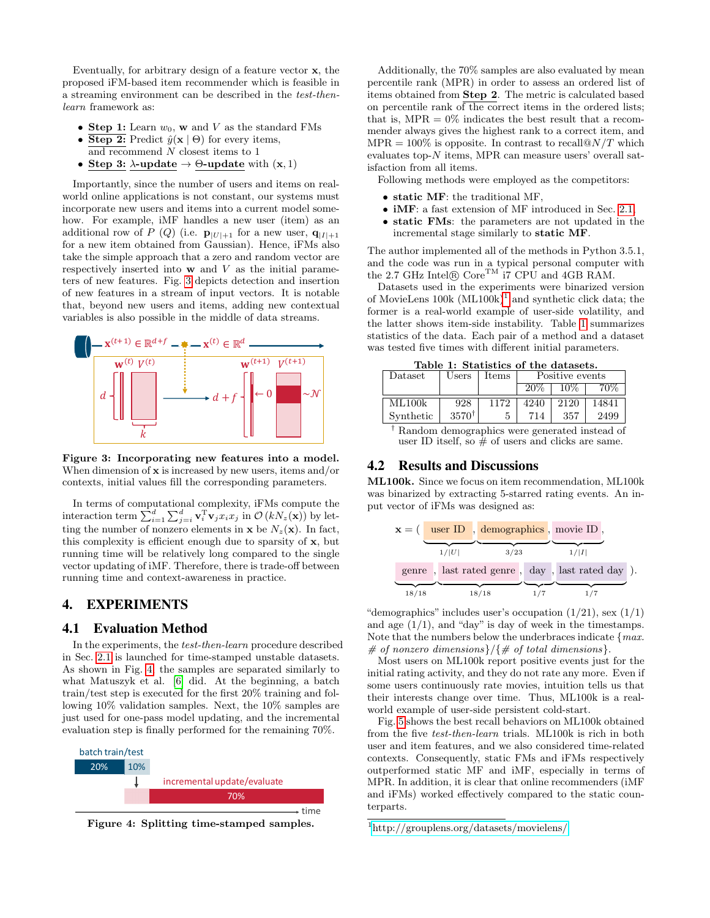Eventually, for arbitrary design of a feature vector x, the proposed iFM-based item recommender which is feasible in a streaming environment can be described in the test-thenlearn framework as:

- Step 1: Learn  $w_0$ , w and V as the standard FMs
- Step 2: Predict  $\hat{y}(\mathbf{x} \mid \Theta)$  for every items,
- and recommend  $N$  closest items to  $1$
- Step 3:  $\lambda$ -update  $\rightarrow \Theta$ -update with  $(x, 1)$

Importantly, since the number of users and items on realworld online applications is not constant, our systems must incorporate new users and items into a current model somehow. For example, iMF handles a new user (item) as an additional row of P (Q) (i.e.  $\mathbf{p}_{|U|+1}$  for a new user,  $\mathbf{q}_{|I|+1}$ for a new item obtained from Gaussian). Hence, iFMs also take the simple approach that a zero and random vector are respectively inserted into  $w$  and  $V$  as the initial parameters of new features. Fig. [3](#page-2-0) depicts detection and insertion of new features in a stream of input vectors. It is notable that, beyond new users and items, adding new contextual variables is also possible in the middle of data streams.



<span id="page-2-0"></span>Figure 3: Incorporating new features into a model. When dimension of  $x$  is increased by new users, items and/or contexts, initial values fill the corresponding parameters.

In terms of computational complexity, iFMs compute the interaction term  $\sum_{i=1}^d \sum_{j=i}^d \mathbf{v}_i^T \mathbf{v}_j x_i x_j$  in  $\mathcal{O}(kN_z(\mathbf{x}))$  by letting the number of nonzero elements in  $\mathbf{x}$  be  $N_z(\mathbf{x})$ . In fact, this complexity is efficient enough due to sparsity of x, but running time will be relatively long compared to the single vector updating of iMF. Therefore, there is trade-off between running time and context-awareness in practice.

# 4. EXPERIMENTS

#### 4.1 Evaluation Method

In the experiments, the test-then-learn procedure described in Sec. [2.1](#page-1-5) is launched for time-stamped unstable datasets. As shown in Fig. [4,](#page-2-1) the samples are separated similarly to what Matuszyk et al. [\[6\]](#page-3-7) did. At the beginning, a batch train/test step is executed for the first 20% training and following 10% validation samples. Next, the 10% samples are just used for one-pass model updating, and the incremental evaluation step is finally performed for the remaining 70%.



<span id="page-2-1"></span>Figure 4: Splitting time-stamped samples.

Additionally, the 70% samples are also evaluated by mean percentile rank (MPR) in order to assess an ordered list of items obtained from Step 2. The metric is calculated based on percentile rank of the correct items in the ordered lists; that is,  $MPR = 0\%$  indicates the best result that a recommender always gives the highest rank to a correct item, and  $MPR = 100\%$  is opposite. In contrast to recall  $\omega N/T$  which evaluates top- $N$  items, MPR can measure users' overall satisfaction from all items.

Following methods were employed as the competitors:

- static MF: the traditional MF,
- iMF: a fast extension of MF introduced in Sec. [2.1,](#page-1-5)
- static FMs: the parameters are not updated in the incremental stage similarly to static MF.

The author implemented all of the methods in Python 3.5.1, and the code was run in a typical personal computer with the 2.7 GHz Intel $\bigcirc$  Core<sup>TM</sup> i7 CPU and 4GB RAM.

Datasets used in the experiments were binarized version of MovieLens  $100k$  $100k$  (ML $100k$ )<sup>1</sup> and synthetic click data; the former is a real-world example of user-side volatility, and the latter shows item-side instability. Table [1](#page-2-3) summarizes statistics of the data. Each pair of a method and a dataset was tested five times with different initial parameters.

<span id="page-2-3"></span>Table 1: Statistics of the datasets.

| rable r. plaustics of the uatasets. |                  |       |                 |      |       |  |  |  |
|-------------------------------------|------------------|-------|-----------------|------|-------|--|--|--|
| Dataset                             | Users            | Items | Positive events |      |       |  |  |  |
|                                     |                  |       | $20\%$          | 10%  |       |  |  |  |
| ML100k                              | 928              | 1172  | 4240            | 2120 | 14841 |  |  |  |
|                                     |                  |       |                 |      |       |  |  |  |
| Synthetic                           | $3570^{\dagger}$ |       | 714             | 357  | 2499  |  |  |  |
|                                     |                  |       |                 |      |       |  |  |  |

† Random demographics were generated instead of user ID itself, so  $\frac{1}{\#}$  of users and clicks are same.

# 4.2 Results and Discussions

ML100k. Since we focus on item recommendation, ML100k was binarized by extracting 5-starred rating events. An input vector of iFMs was designed as:



"demographics" includes user's occupation  $(1/21)$ , sex  $(1/1)$ and age  $(1/1)$ , and "day" is day of week in the timestamps. Note that the numbers below the underbraces indicate  ${max.}$ # of nonzero dimensions}/{# of total dimensions}.

Most users on ML100k report positive events just for the initial rating activity, and they do not rate any more. Even if some users continuously rate movies, intuition tells us that their interests change over time. Thus, ML100k is a realworld example of user-side persistent cold-start.

Fig. [5](#page-3-8) shows the best recall behaviors on ML100k obtained from the five test-then-learn trials. ML100k is rich in both user and item features, and we also considered time-related contexts. Consequently, static FMs and iFMs respectively outperformed static MF and iMF, especially in terms of MPR. In addition, it is clear that online recommenders (iMF and iFMs) worked effectively compared to the static counterparts.

<span id="page-2-2"></span><sup>1</sup><http://grouplens.org/datasets/movielens/>